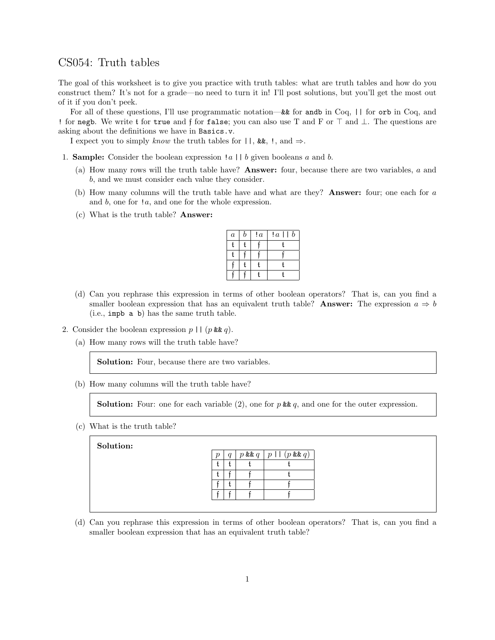## CS054: Truth tables

The goal of this worksheet is to give you practice with truth tables: what are truth tables and how do you construct them? It's not for a grade—no need to turn it in! I'll post solutions, but you'll get the most out of it if you don't peek.

For all of these questions, I'll use programmatic notation—&& for andb in Coq, || for orb in Coq, and ! for negb. We write t for true and f for false; you can also use T and F or  $\top$  and  $\bot$ . The questions are asking about the definitions we have in Basics.v.

I expect you to simply know the truth tables for  $| \cdot |$ , &&, !, and  $\Rightarrow$ .

- 1. **Sample:** Consider the boolean expression  $|a| | b$  given booleans a and b.
	- (a) How many rows will the truth table have? Answer: four, because there are two variables, a and b, and we must consider each value they consider.
	- (b) How many columns will the truth table have and what are they? Answer: four; one each for a and b, one for !a, and one for the whole expression.
	- (c) What is the truth table? Answer:

| $\boldsymbol{a}$ | b | ! a | $\boldsymbol{b}$<br>!a |
|------------------|---|-----|------------------------|
| ŧ.               | f |     |                        |
| ŧ.               |   |     |                        |
|                  | f |     |                        |
|                  |   |     |                        |

- (d) Can you rephrase this expression in terms of other boolean operators? That is, can you find a smaller boolean expression that has an equivalent truth table? Answer: The expression  $a \Rightarrow b$ (i.e., impb a b) has the same truth table.
- 2. Consider the boolean expression  $p \mid (p \& q)$ .
	- (a) How many rows will the truth table have?

Solution: Four, because there are two variables.

(b) How many columns will the truth table have?

**Solution:** Four: one for each variable (2), one for p && q, and one for the outer expression.

(c) What is the truth table?

Solution:

| $\boldsymbol{p}$ |  | $p$ & & $q \mid p \mid (p$ & & $q)$ |
|------------------|--|-------------------------------------|
|                  |  |                                     |
|                  |  |                                     |
|                  |  |                                     |
|                  |  |                                     |

(d) Can you rephrase this expression in terms of other boolean operators? That is, can you find a smaller boolean expression that has an equivalent truth table?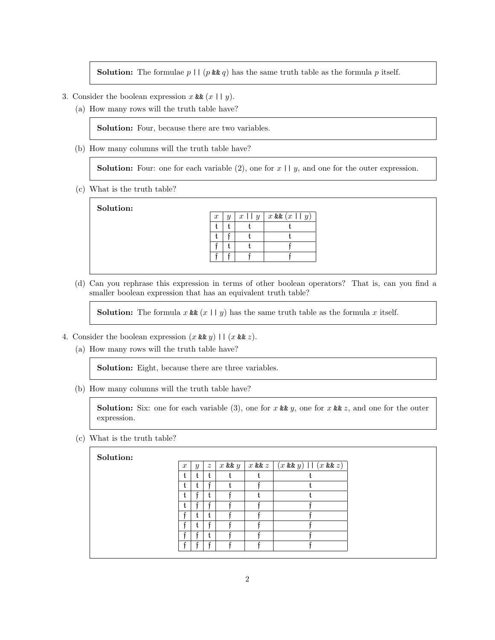**Solution:** The formulae  $p \mid \mid (p \& q)$  has the same truth table as the formula p itself.

- 3. Consider the boolean expression x &  $(x \mid y)$ .
	- (a) How many rows will the truth table have?

Solution: Four, because there are two variables.

(b) How many columns will the truth table have?

**Solution:** Four: one for each variable  $(2)$ , one for  $x \mid y$ , and one for the outer expression.

(c) What is the truth table?

Solution:



(d) Can you rephrase this expression in terms of other boolean operators? That is, can you find a smaller boolean expression that has an equivalent truth table?

**Solution:** The formula x  $\& (x \mid y)$  has the same truth table as the formula x itself.

4. Consider the boolean expression  $(x \& g)$  ||  $(x \& g)$ .

(a) How many rows will the truth table have?

Solution: Eight, because there are three variables.

(b) How many columns will the truth table have?

**Solution:** Six: one for each variable (3), one for x && y, one for x && z, and one for the outer expression.

(c) What is the truth table?

Solution:

| $\boldsymbol{x}$ | $\mathcal{Y}$ | $\boldsymbol{z}$ |  | $\lceil x \log y \rceil$ $\lceil x \log z \rceil$ $\lceil (x \log y) \rceil$ $\lceil (x \log z) \rceil$ |
|------------------|---------------|------------------|--|---------------------------------------------------------------------------------------------------------|
|                  |               |                  |  |                                                                                                         |
|                  |               |                  |  |                                                                                                         |
|                  |               |                  |  |                                                                                                         |
|                  |               |                  |  |                                                                                                         |
|                  |               |                  |  |                                                                                                         |
|                  |               |                  |  |                                                                                                         |
|                  |               |                  |  |                                                                                                         |
| c                |               |                  |  |                                                                                                         |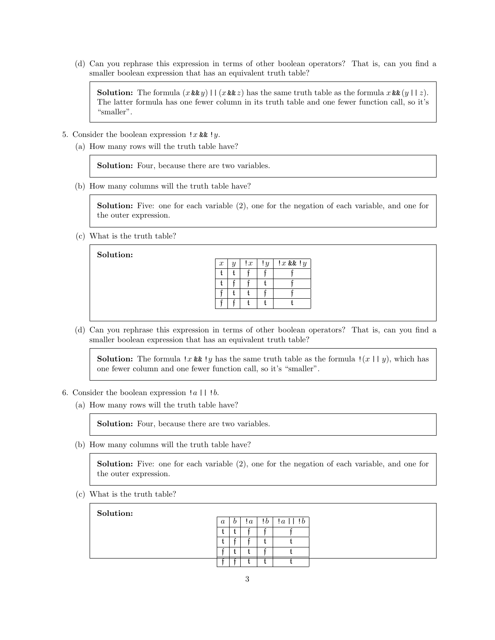(d) Can you rephrase this expression in terms of other boolean operators? That is, can you find a smaller boolean expression that has an equivalent truth table?

**Solution:** The formula  $(x \& x) \parallel (x \& z)$  has the same truth table as the formula  $x \& (y \parallel z)$ . The latter formula has one fewer column in its truth table and one fewer function call, so it's "smaller".

- 5. Consider the boolean expression  $!x$  &  $!y$ .
	- (a) How many rows will the truth table have?

Solution: Four, because there are two variables.

(b) How many columns will the truth table have?

Solution: Five: one for each variable (2), one for the negation of each variable, and one for the outer expression.

(c) What is the truth table?

Solution:

 $x \mid y \mid 1x \mid 1y \mid 1x$  & &  $1y$ t  $|t|$  f  $|f|$  f  $t \mid \mathfrak{f} \mid \mathfrak{f} \mid t \mid \mathfrak{f}$  $\mathfrak{f}$  t t f f f  $\mathfrak{f} \mid \mathfrak{f} \mid \mathfrak{t} \mid \mathfrak{t} \mid \mathfrak{t}$ 

(d) Can you rephrase this expression in terms of other boolean operators? That is, can you find a smaller boolean expression that has an equivalent truth table?

**Solution:** The formula !x & !y has the same truth table as the formula !(x || y), which has one fewer column and one fewer function call, so it's "smaller".

- 6. Consider the boolean expression  $|a|$  |  $|b$ .
	- (a) How many rows will the truth table have?

Solution: Four, because there are two variables.

(b) How many columns will the truth table have?

Solution: Five: one for each variable (2), one for the negation of each variable, and one for the outer expression.

(c) What is the truth table?

| Solution: |                  |                       |                |         |                               |  |
|-----------|------------------|-----------------------|----------------|---------|-------------------------------|--|
|           | $\boldsymbol{a}$ | $\boldsymbol{\theta}$ | $\mathfrak{a}$ | $\cdot$ | $  \cdot   b$<br>$\mathbf{a}$ |  |
|           |                  |                       |                |         |                               |  |
|           |                  |                       |                |         |                               |  |
|           |                  |                       |                |         |                               |  |
|           |                  |                       |                |         |                               |  |